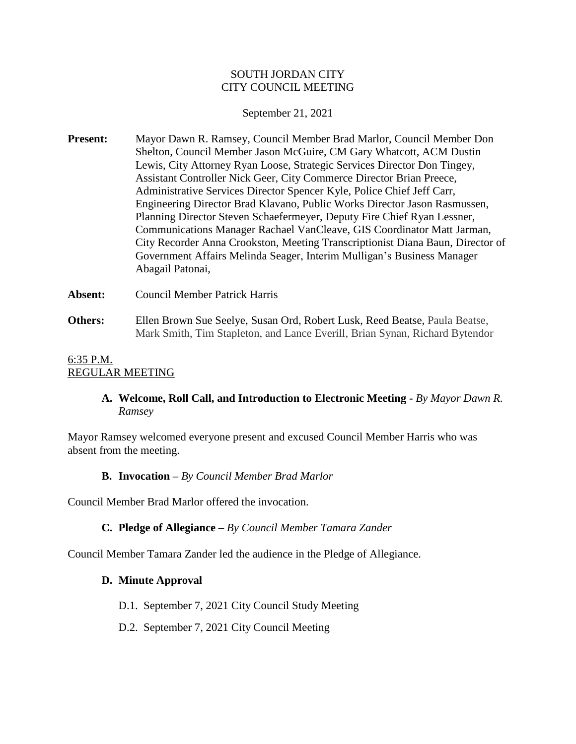### SOUTH JORDAN CITY CITY COUNCIL MEETING

### September 21, 2021

**Present:** Mayor Dawn R. Ramsey, Council Member Brad Marlor, Council Member Don Shelton, Council Member Jason McGuire, CM Gary Whatcott, ACM Dustin Lewis, City Attorney Ryan Loose, Strategic Services Director Don Tingey, Assistant Controller Nick Geer, City Commerce Director Brian Preece, Administrative Services Director Spencer Kyle, Police Chief Jeff Carr, Engineering Director Brad Klavano, Public Works Director Jason Rasmussen, Planning Director Steven Schaefermeyer, Deputy Fire Chief Ryan Lessner, Communications Manager Rachael VanCleave, GIS Coordinator Matt Jarman, City Recorder Anna Crookston, Meeting Transcriptionist Diana Baun, Director of Government Affairs Melinda Seager, Interim Mulligan's Business Manager Abagail Patonai,

**Absent:** Council Member Patrick Harris **Others:** Ellen Brown Sue Seelye, Susan Ord, Robert Lusk, Reed Beatse, Paula Beatse, Mark Smith, Tim Stapleton, and Lance Everill, Brian Synan, Richard Bytendor

### 6:35 P.M. REGULAR MEETING

# **A. Welcome, Roll Call, and Introduction to Electronic Meeting -** *By Mayor Dawn R. Ramsey*

Mayor Ramsey welcomed everyone present and excused Council Member Harris who was absent from the meeting.

## **B. Invocation –** *By Council Member Brad Marlor*

Council Member Brad Marlor offered the invocation.

## **C. Pledge of Allegiance –** *By Council Member Tamara Zander*

Council Member Tamara Zander led the audience in the Pledge of Allegiance.

## **D. Minute Approval**

- D.1. September 7, 2021 City Council Study Meeting
- D.2. September 7, 2021 City Council Meeting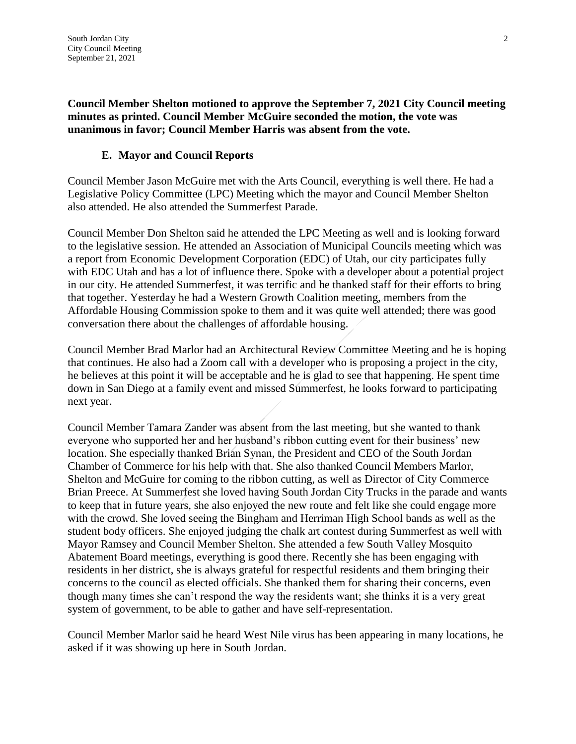**Council Member Shelton motioned to approve the September 7, 2021 City Council meeting minutes as printed. Council Member McGuire seconded the motion, the vote was unanimous in favor; Council Member Harris was absent from the vote.**

### **E. Mayor and Council Reports**

Council Member Jason McGuire met with the Arts Council, everything is well there. He had a Legislative Policy Committee (LPC) Meeting which the mayor and Council Member Shelton also attended. He also attended the Summerfest Parade.

Council Member Don Shelton said he attended the LPC Meeting as well and is looking forward to the legislative session. He attended an Association of Municipal Councils meeting which was a report from Economic Development Corporation (EDC) of Utah, our city participates fully with EDC Utah and has a lot of influence there. Spoke with a developer about a potential project in our city. He attended Summerfest, it was terrific and he thanked staff for their efforts to bring that together. Yesterday he had a Western Growth Coalition meeting, members from the Affordable Housing Commission spoke to them and it was quite well attended; there was good conversation there about the challenges of affordable housing.

Council Member Brad Marlor had an Architectural Review Committee Meeting and he is hoping that continues. He also had a Zoom call with a developer who is proposing a project in the city, he believes at this point it will be acceptable and he is glad to see that happening. He spent time down in San Diego at a family event and missed Summerfest, he looks forward to participating next year.

Council Member Tamara Zander was absent from the last meeting, but she wanted to thank everyone who supported her and her husband's ribbon cutting event for their business' new location. She especially thanked Brian Synan, the President and CEO of the South Jordan Chamber of Commerce for his help with that. She also thanked Council Members Marlor, Shelton and McGuire for coming to the ribbon cutting, as well as Director of City Commerce Brian Preece. At Summerfest she loved having South Jordan City Trucks in the parade and wants to keep that in future years, she also enjoyed the new route and felt like she could engage more with the crowd. She loved seeing the Bingham and Herriman High School bands as well as the student body officers. She enjoyed judging the chalk art contest during Summerfest as well with Mayor Ramsey and Council Member Shelton. She attended a few South Valley Mosquito Abatement Board meetings, everything is good there. Recently she has been engaging with residents in her district, she is always grateful for respectful residents and them bringing their concerns to the council as elected officials. She thanked them for sharing their concerns, even though many times she can't respond the way the residents want; she thinks it is a very great system of government, to be able to gather and have self-representation.

Council Member Marlor said he heard West Nile virus has been appearing in many locations, he asked if it was showing up here in South Jordan.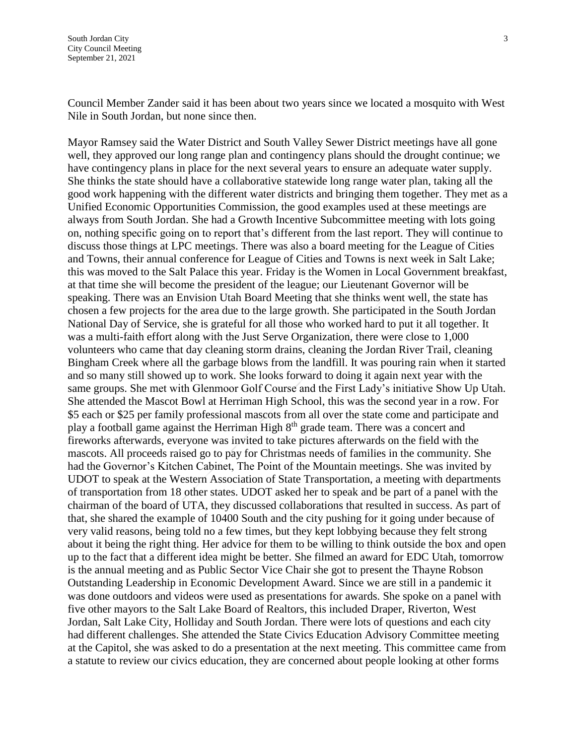Council Member Zander said it has been about two years since we located a mosquito with West Nile in South Jordan, but none since then.

Mayor Ramsey said the Water District and South Valley Sewer District meetings have all gone well, they approved our long range plan and contingency plans should the drought continue; we have contingency plans in place for the next several years to ensure an adequate water supply. She thinks the state should have a collaborative statewide long range water plan, taking all the good work happening with the different water districts and bringing them together. They met as a Unified Economic Opportunities Commission, the good examples used at these meetings are always from South Jordan. She had a Growth Incentive Subcommittee meeting with lots going on, nothing specific going on to report that's different from the last report. They will continue to discuss those things at LPC meetings. There was also a board meeting for the League of Cities and Towns, their annual conference for League of Cities and Towns is next week in Salt Lake; this was moved to the Salt Palace this year. Friday is the Women in Local Government breakfast, at that time she will become the president of the league; our Lieutenant Governor will be speaking. There was an Envision Utah Board Meeting that she thinks went well, the state has chosen a few projects for the area due to the large growth. She participated in the South Jordan National Day of Service, she is grateful for all those who worked hard to put it all together. It was a multi-faith effort along with the Just Serve Organization, there were close to 1,000 volunteers who came that day cleaning storm drains, cleaning the Jordan River Trail, cleaning Bingham Creek where all the garbage blows from the landfill. It was pouring rain when it started and so many still showed up to work. She looks forward to doing it again next year with the same groups. She met with Glenmoor Golf Course and the First Lady's initiative Show Up Utah. She attended the Mascot Bowl at Herriman High School, this was the second year in a row. For \$5 each or \$25 per family professional mascots from all over the state come and participate and play a football game against the Herriman High 8th grade team. There was a concert and fireworks afterwards, everyone was invited to take pictures afterwards on the field with the mascots. All proceeds raised go to pay for Christmas needs of families in the community. She had the Governor's Kitchen Cabinet, The Point of the Mountain meetings. She was invited by UDOT to speak at the Western Association of State Transportation, a meeting with departments of transportation from 18 other states. UDOT asked her to speak and be part of a panel with the chairman of the board of UTA, they discussed collaborations that resulted in success. As part of that, she shared the example of 10400 South and the city pushing for it going under because of very valid reasons, being told no a few times, but they kept lobbying because they felt strong about it being the right thing. Her advice for them to be willing to think outside the box and open up to the fact that a different idea might be better. She filmed an award for EDC Utah, tomorrow is the annual meeting and as Public Sector Vice Chair she got to present the Thayne Robson Outstanding Leadership in Economic Development Award. Since we are still in a pandemic it was done outdoors and videos were used as presentations for awards. She spoke on a panel with five other mayors to the Salt Lake Board of Realtors, this included Draper, Riverton, West Jordan, Salt Lake City, Holliday and South Jordan. There were lots of questions and each city had different challenges. She attended the State Civics Education Advisory Committee meeting at the Capitol, she was asked to do a presentation at the next meeting. This committee came from a statute to review our civics education, they are concerned about people looking at other forms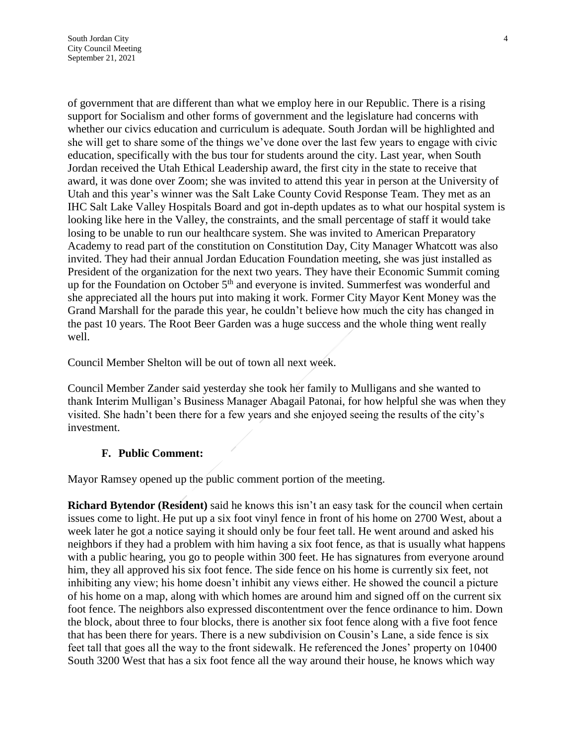of government that are different than what we employ here in our Republic. There is a rising support for Socialism and other forms of government and the legislature had concerns with whether our civics education and curriculum is adequate. South Jordan will be highlighted and she will get to share some of the things we've done over the last few years to engage with civic education, specifically with the bus tour for students around the city. Last year, when South Jordan received the Utah Ethical Leadership award, the first city in the state to receive that award, it was done over Zoom; she was invited to attend this year in person at the University of Utah and this year's winner was the Salt Lake County Covid Response Team. They met as an IHC Salt Lake Valley Hospitals Board and got in-depth updates as to what our hospital system is looking like here in the Valley, the constraints, and the small percentage of staff it would take losing to be unable to run our healthcare system. She was invited to American Preparatory Academy to read part of the constitution on Constitution Day, City Manager Whatcott was also invited. They had their annual Jordan Education Foundation meeting, she was just installed as President of the organization for the next two years. They have their Economic Summit coming up for the Foundation on October 5<sup>th</sup> and everyone is invited. Summerfest was wonderful and she appreciated all the hours put into making it work. Former City Mayor Kent Money was the Grand Marshall for the parade this year, he couldn't believe how much the city has changed in the past 10 years. The Root Beer Garden was a huge success and the whole thing went really well.

Council Member Shelton will be out of town all next week.

Council Member Zander said yesterday she took her family to Mulligans and she wanted to thank Interim Mulligan's Business Manager Abagail Patonai, for how helpful she was when they visited. She hadn't been there for a few years and she enjoyed seeing the results of the city's investment.

#### **F. Public Comment:**

Mayor Ramsey opened up the public comment portion of the meeting.

**Richard Bytendor (Resident)** said he knows this isn't an easy task for the council when certain issues come to light. He put up a six foot vinyl fence in front of his home on 2700 West, about a week later he got a notice saying it should only be four feet tall. He went around and asked his neighbors if they had a problem with him having a six foot fence, as that is usually what happens with a public hearing, you go to people within 300 feet. He has signatures from everyone around him, they all approved his six foot fence. The side fence on his home is currently six feet, not inhibiting any view; his home doesn't inhibit any views either. He showed the council a picture of his home on a map, along with which homes are around him and signed off on the current six foot fence. The neighbors also expressed discontentment over the fence ordinance to him. Down the block, about three to four blocks, there is another six foot fence along with a five foot fence that has been there for years. There is a new subdivision on Cousin's Lane, a side fence is six feet tall that goes all the way to the front sidewalk. He referenced the Jones' property on 10400 South 3200 West that has a six foot fence all the way around their house, he knows which way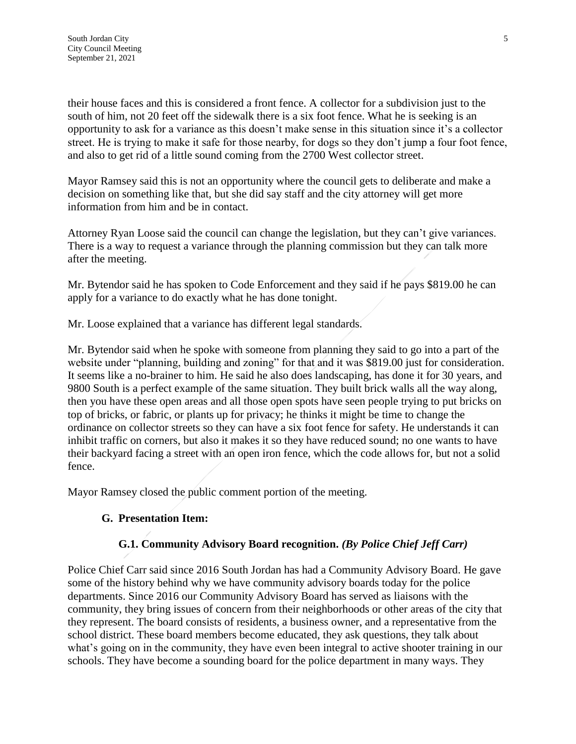their house faces and this is considered a front fence. A collector for a subdivision just to the south of him, not 20 feet off the sidewalk there is a six foot fence. What he is seeking is an opportunity to ask for a variance as this doesn't make sense in this situation since it's a collector street. He is trying to make it safe for those nearby, for dogs so they don't jump a four foot fence, and also to get rid of a little sound coming from the 2700 West collector street.

Mayor Ramsey said this is not an opportunity where the council gets to deliberate and make a decision on something like that, but she did say staff and the city attorney will get more information from him and be in contact.

Attorney Ryan Loose said the council can change the legislation, but they can't give variances. There is a way to request a variance through the planning commission but they can talk more after the meeting.

Mr. Bytendor said he has spoken to Code Enforcement and they said if he pays \$819.00 he can apply for a variance to do exactly what he has done tonight.

Mr. Loose explained that a variance has different legal standards.

Mr. Bytendor said when he spoke with someone from planning they said to go into a part of the website under "planning, building and zoning" for that and it was \$819.00 just for consideration. It seems like a no-brainer to him. He said he also does landscaping, has done it for 30 years, and 9800 South is a perfect example of the same situation. They built brick walls all the way along, then you have these open areas and all those open spots have seen people trying to put bricks on top of bricks, or fabric, or plants up for privacy; he thinks it might be time to change the ordinance on collector streets so they can have a six foot fence for safety. He understands it can inhibit traffic on corners, but also it makes it so they have reduced sound; no one wants to have their backyard facing a street with an open iron fence, which the code allows for, but not a solid fence.

Mayor Ramsey closed the public comment portion of the meeting.

## **G. Presentation Item:**

## **G.1. Community Advisory Board recognition.** *(By Police Chief Jeff Carr)*

Police Chief Carr said since 2016 South Jordan has had a Community Advisory Board. He gave some of the history behind why we have community advisory boards today for the police departments. Since 2016 our Community Advisory Board has served as liaisons with the community, they bring issues of concern from their neighborhoods or other areas of the city that they represent. The board consists of residents, a business owner, and a representative from the school district. These board members become educated, they ask questions, they talk about what's going on in the community, they have even been integral to active shooter training in our schools. They have become a sounding board for the police department in many ways. They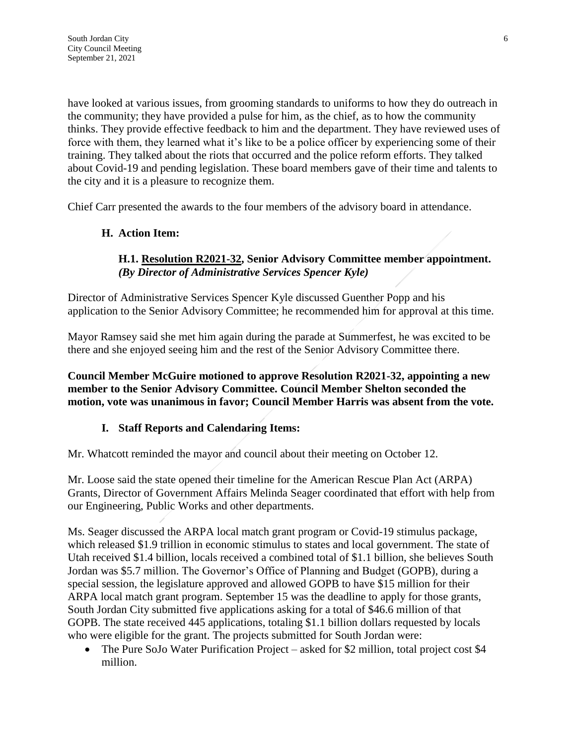have looked at various issues, from grooming standards to uniforms to how they do outreach in the community; they have provided a pulse for him, as the chief, as to how the community thinks. They provide effective feedback to him and the department. They have reviewed uses of force with them, they learned what it's like to be a police officer by experiencing some of their training. They talked about the riots that occurred and the police reform efforts. They talked about Covid-19 and pending legislation. These board members gave of their time and talents to the city and it is a pleasure to recognize them.

Chief Carr presented the awards to the four members of the advisory board in attendance.

### **H. Action Item:**

### **H.1. Resolution R2021-32, Senior Advisory Committee member appointment.**  *(By Director of Administrative Services Spencer Kyle)*

Director of Administrative Services Spencer Kyle discussed Guenther Popp and his application to the Senior Advisory Committee; he recommended him for approval at this time.

Mayor Ramsey said she met him again during the parade at Summerfest, he was excited to be there and she enjoyed seeing him and the rest of the Senior Advisory Committee there.

**Council Member McGuire motioned to approve Resolution R2021-32, appointing a new member to the Senior Advisory Committee. Council Member Shelton seconded the motion, vote was unanimous in favor; Council Member Harris was absent from the vote.**

### **I. Staff Reports and Calendaring Items:**

Mr. Whatcott reminded the mayor and council about their meeting on October 12.

Mr. Loose said the state opened their timeline for the American Rescue Plan Act (ARPA) Grants, Director of Government Affairs Melinda Seager coordinated that effort with help from our Engineering, Public Works and other departments.

Ms. Seager discussed the ARPA local match grant program or Covid-19 stimulus package, which released \$1.9 trillion in economic stimulus to states and local government. The state of Utah received \$1.4 billion, locals received a combined total of \$1.1 billion, she believes South Jordan was \$5.7 million. The Governor's Office of Planning and Budget (GOPB), during a special session, the legislature approved and allowed GOPB to have \$15 million for their ARPA local match grant program. September 15 was the deadline to apply for those grants, South Jordan City submitted five applications asking for a total of \$46.6 million of that GOPB. The state received 445 applications, totaling \$1.1 billion dollars requested by locals who were eligible for the grant. The projects submitted for South Jordan were:

• The Pure SoJo Water Purification Project – asked for \$2 million, total project cost \$4 million.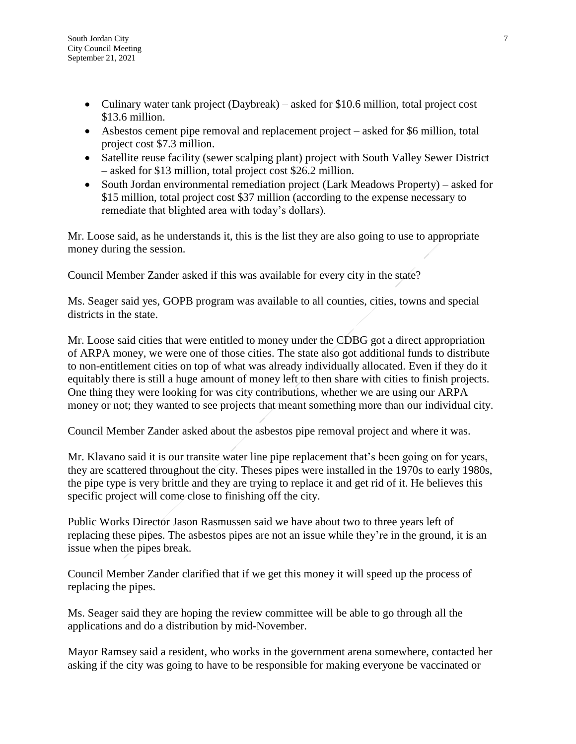- Culinary water tank project (Daybreak) asked for \$10.6 million, total project cost \$13.6 million.
- Asbestos cement pipe removal and replacement project asked for \$6 million, total project cost \$7.3 million.
- Satellite reuse facility (sewer scalping plant) project with South Valley Sewer District – asked for \$13 million, total project cost \$26.2 million.
- South Jordan environmental remediation project (Lark Meadows Property) asked for \$15 million, total project cost \$37 million (according to the expense necessary to remediate that blighted area with today's dollars).

Mr. Loose said, as he understands it, this is the list they are also going to use to appropriate money during the session.

Council Member Zander asked if this was available for every city in the state?

Ms. Seager said yes, GOPB program was available to all counties, cities, towns and special districts in the state.

Mr. Loose said cities that were entitled to money under the CDBG got a direct appropriation of ARPA money, we were one of those cities. The state also got additional funds to distribute to non-entitlement cities on top of what was already individually allocated. Even if they do it equitably there is still a huge amount of money left to then share with cities to finish projects. One thing they were looking for was city contributions, whether we are using our ARPA money or not; they wanted to see projects that meant something more than our individual city.

Council Member Zander asked about the asbestos pipe removal project and where it was.

Mr. Klavano said it is our transite water line pipe replacement that's been going on for years, they are scattered throughout the city. Theses pipes were installed in the 1970s to early 1980s, the pipe type is very brittle and they are trying to replace it and get rid of it. He believes this specific project will come close to finishing off the city.

Public Works Director Jason Rasmussen said we have about two to three years left of replacing these pipes. The asbestos pipes are not an issue while they're in the ground, it is an issue when the pipes break.

Council Member Zander clarified that if we get this money it will speed up the process of replacing the pipes.

Ms. Seager said they are hoping the review committee will be able to go through all the applications and do a distribution by mid-November.

Mayor Ramsey said a resident, who works in the government arena somewhere, contacted her asking if the city was going to have to be responsible for making everyone be vaccinated or